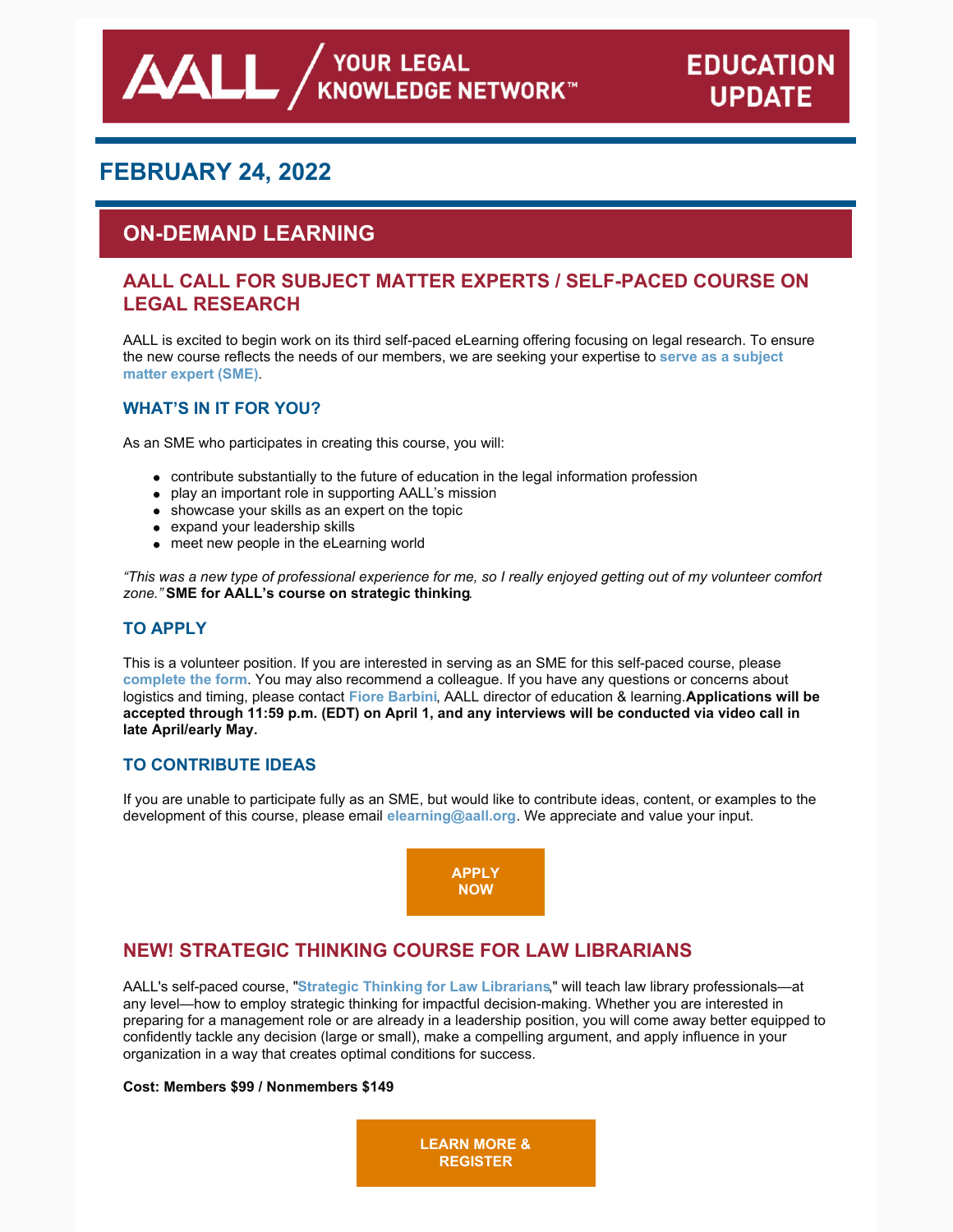# <sup>∕</sup> YOUR LEGAL<br>KNOWLEDGE NETWORK™

# **FEBRUARY 24, 2022**

AALI

# **ON-DEMAND LEARNING**

# **AALL CALL FOR SUBJECT MATTER EXPERTS / SELF-PACED COURSE ON LEGAL RESEARCH**

AALL is excited to begin work on its third self-paced eLearning offering focusing on legal research. To ensure the new course reflects the needs of our [members,](https://www.aallnet.org/wp-content/uploads/2022/02/Legal-Research-Call-for-SMEs_FINAL.pdf) we are seeking your expertise to **serve as a subject matter expert (SME)**.

### **WHAT'S IN IT FOR YOU?**

As an SME who participates in creating this course, you will:

- contribute substantially to the future of education in the legal information profession
- play an important role in supporting AALL's mission
- showcase your skills as an expert on the topic
- expand your leadership skills
- meet new people in the eLearning world

"This was a new type of professional experience for me, so I really enjoyed getting out of my volunteer comfort *zone."* **SME for AALL's course on strategic thinking**.

### **TO APPLY**

This is a volunteer position. If you are interested in serving as an SME for this self-paced course, please **[complete](https://www.aallnet.org/education-training/elearning/sme/) the form**. You may also recommend a colleague. If you have any questions or concerns about logistics and timing, please contact **Fiore [Barbini](mailto:fbarbini@aall.org)**, AALL director of education & learning.**Applications will be** accepted through 11:59 p.m. (EDT) on April 1, and any interviews will be conducted via video call in **late April/early May.**

### **TO CONTRIBUTE IDEAS**

If you are unable to participate fully as an SME, but would like to contribute ideas, content, or examples to the development of this course, please email **[elearning@aall.org](mailto:elearning@aall.org)**. We appreciate and value your input.



# **NEW! STRATEGIC THINKING COURSE FOR LAW LIBRARIANS**

AALL's self-paced course, "**Strategic Thinking for Law [Librarians](https://elearning.aallnet.org/products/strategic-thinking-for-law-librarians)**," will teach law library professionals—at any level—how to employ strategic thinking for impactful decision-making. Whether you are interested in preparing for a management role or are already in a leadership position, you will come away better equipped to confidently tackle any decision (large or small), make a compelling argument, and apply influence in your organization in a way that creates optimal conditions for success.

### **Cost: Members \$99 / Nonmembers \$149**

**LEARN MORE & [REGISTER](https://elearning.aallnet.org/products/strategic-thinking-for-law-librarians)**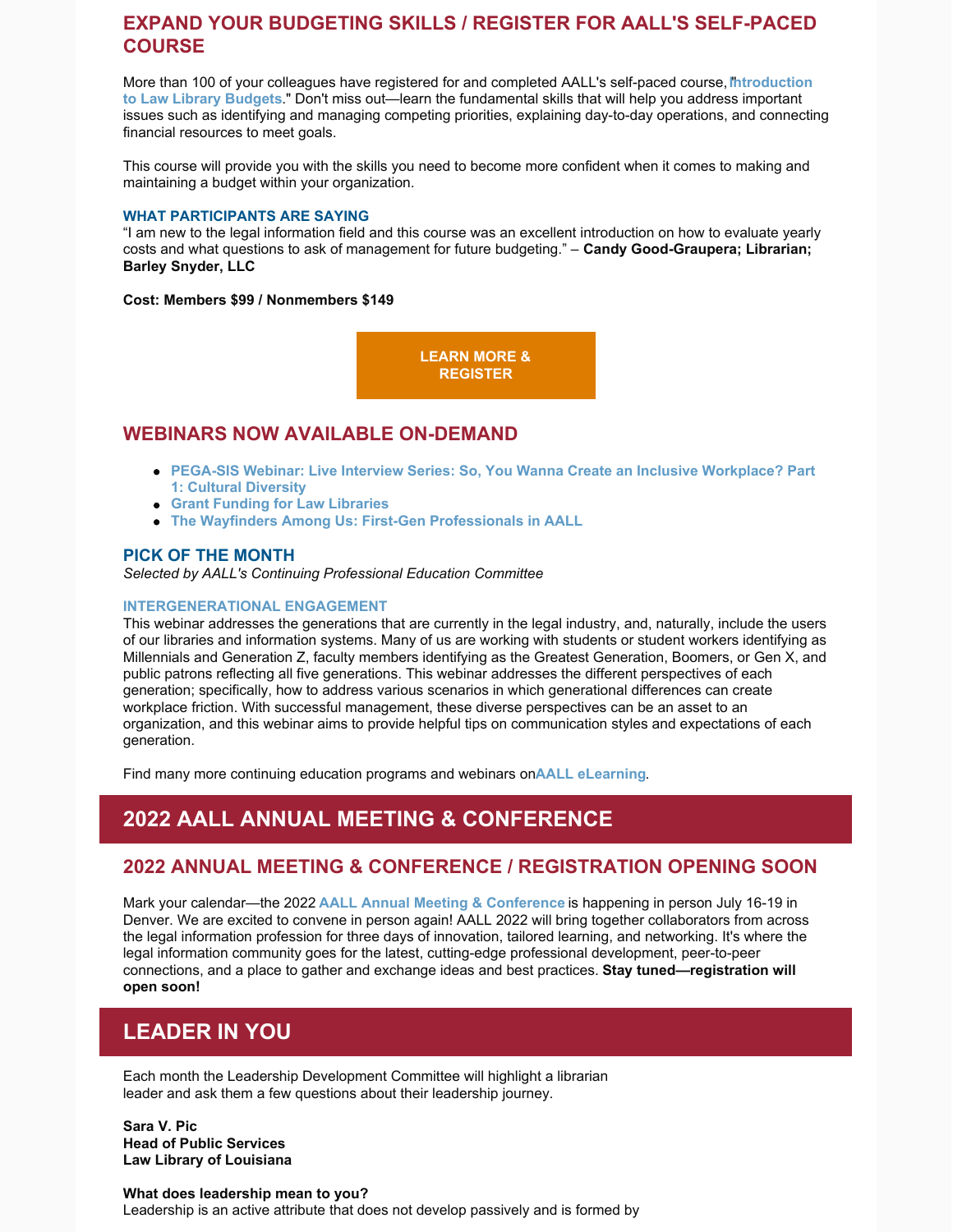# **EXPAND YOUR BUDGETING SKILLS / REGISTER FOR AALL'S SELF-PACED COURSE**

More than 100 of your colleagues have registered for and completed AALL's self-paced course,**I**"**[ntroduction](https://elearning.aallnet.org/products/introduction-to-law-library-budgets-2) to Law Library Budgets**." Don't miss out—learn the fundamental skills that will help you address important issues such as identifying and managing competing priorities, explaining day-to-day operations, and connecting financial resources to meet goals.

This course will provide you with the skills you need to become more confident when it comes to making and maintaining a budget within your organization.

#### **WHAT PARTICIPANTS ARE SAYING**

"I am new to the legal information field and this course was an excellent introduction on how to evaluate yearly costs and what questions to ask of management for future budgeting." – **Candy Good-Graupera; Librarian; Barley Snyder, LLC**

**Cost: Members \$99 / Nonmembers \$149**

**LEARN MORE & [REGISTER](https://elearning.aallnet.org/products/introduction-to-law-library-budgets-2)**

### **WEBINARS NOW AVAILABLE ON-DEMAND**

- **PEGA-SIS Webinar: Live Interview Series: So, You Wanna Create an Inclusive [Workplace?](https://elearning.aallnet.org/products/live-interview-series-so-you-wanna-create-an-inclusive-workplace-part-1-cultural-diversity#tab-product_tab_overview) Part 1: Cultural Diversity**
- **Grant Funding for Law [Libraries](https://elearning.aallnet.org/products/grant-funding-for-law-libraries)**
- **The Wayfinders Among Us: First-Gen [Professionals](https://elearning.aallnet.org/products/the-wayfinders-among-us-first-gen-professionals-in-aall) in AALL**

### **PICK OF THE MONTH**

*Selected by AALL's Continuing Professional Education Committee*

#### **[INTERGENERATIONAL](https://elearning.aallnet.org/products/intergenerational-engagement#tab-product_tab_overview) ENGAGEMENT**

This webinar addresses the generations that are currently in the legal industry, and, naturally, include the users of our libraries and information systems. Many of us are working with students or student workers identifying as Millennials and Generation Z, faculty members identifying as the Greatest Generation, Boomers, or Gen X, and public patrons reflecting all five generations. This webinar addresses the different perspectives of each generation; specifically, how to address various scenarios in which generational differences can create workplace friction. With successful management, these diverse perspectives can be an asset to an organization, and this webinar aims to provide helpful tips on communication styles and expectations of each generation.

Find many more continuing education programs and webinars on**AALL [eLearning](https://elearning.aallnet.org/)**.

# **2022 AALL ANNUAL MEETING & CONFERENCE**

### **2022 ANNUAL MEETING & CONFERENCE / REGISTRATION OPENING SOON**

Mark your calendar—the 2022 **AALL Annual Meeting & [Conference](https://www.aallnet.org/conference/)** is happening in person July 16-19 in Denver. We are excited to convene in person again! AALL 2022 will bring together collaborators from across the legal information profession for three days of innovation, tailored learning, and networking. It's where the legal information community goes for the latest, cutting-edge professional development, peer-to-peer connections, and a place to gather and exchange ideas and best practices. **Stay tuned—registration will open soon!**

# **LEADER IN YOU**

Each month the Leadership Development Committee will highlight a librarian leader and ask them a few questions about their leadership journey.

**Sara V. Pic Head of Public Services Law Library of Louisiana**

**What does leadership mean to you?** Leadership is an active attribute that does not develop passively and is formed by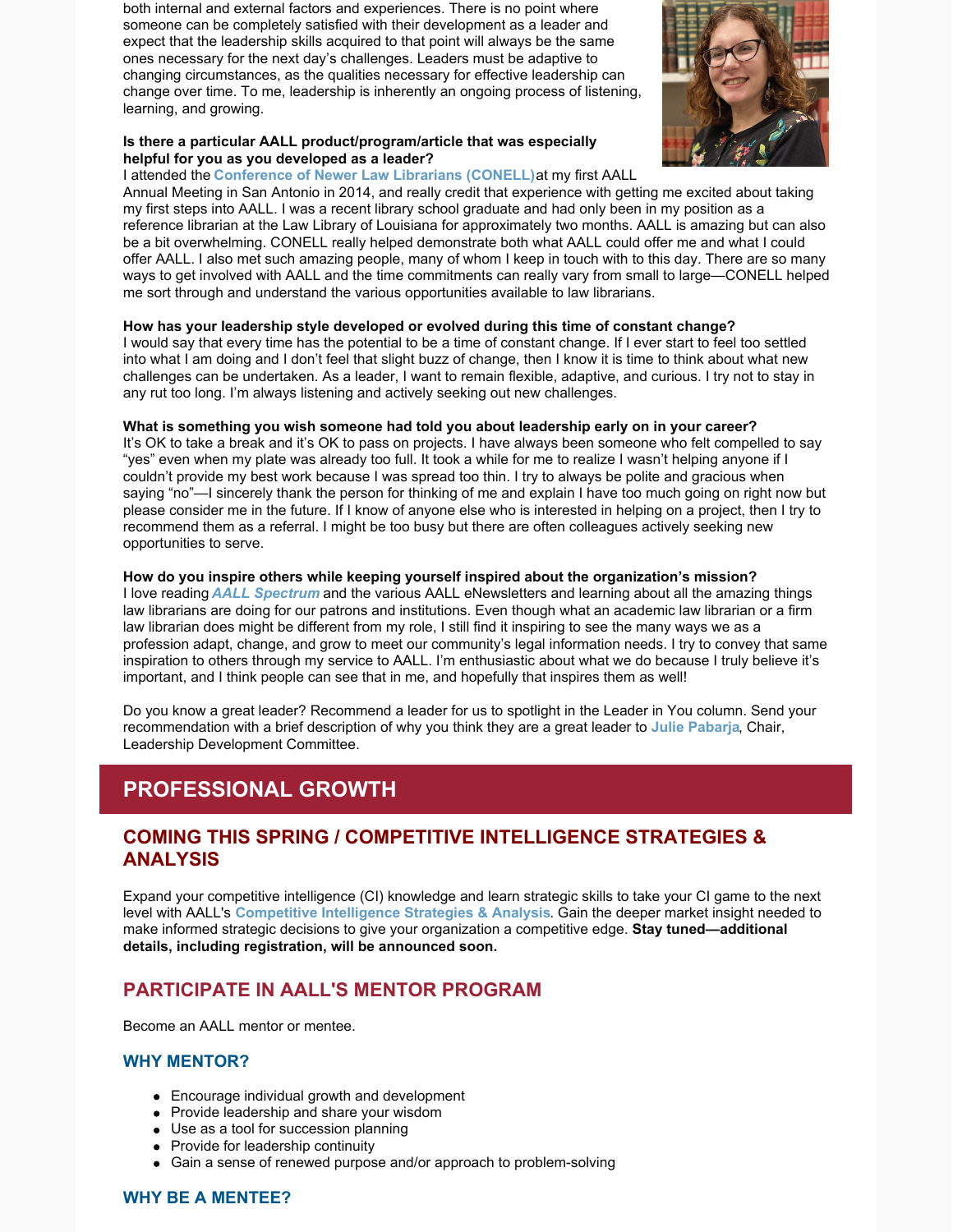both internal and external factors and experiences. There is no point where someone can be completely satisfied with their development as a leader and expect that the leadership skills acquired to that point will always be the same ones necessary for the next day's challenges. Leaders must be adaptive to changing circumstances, as the qualities necessary for effective leadership can change over time. To me, leadership is inherently an ongoing process of listening, learning, and growing.



#### **Is there a particular AALL product/program/article that was especially helpful for you as you developed as a leader?**

I attended the **[Conference](https://www.aallnet.org/conference/agenda/conell/) of Newer Law Librarians (CONELL)**at my first AALL

Annual Meeting in San Antonio in 2014, and really credit that experience with getting me excited about taking my first steps into AALL. I was a recent library school graduate and had only been in my position as a reference librarian at the Law Library of Louisiana for approximately two months. AALL is amazing but can also be a bit overwhelming. CONELL really helped demonstrate both what AALL could offer me and what I could offer AALL. I also met such amazing people, many of whom I keep in touch with to this day. There are so many ways to get involved with AALL and the time commitments can really vary from small to large—CONELL helped me sort through and understand the various opportunities available to law librarians.

### **How has your leadership style developed or evolved during this time of constant change?**

I would say that every time has the potential to be a time of constant change. If I ever start to feel too settled into what I am doing and I don't feel that slight buzz of change, then I know it is time to think about what new challenges can be undertaken. As a leader, I want to remain flexible, adaptive, and curious. I try not to stay in any rut too long. I'm always listening and actively seeking out new challenges.

#### **What is something you wish someone had told you about leadership early on in your career?**

It's OK to take a break and it's OK to pass on projects. I have always been someone who felt compelled to say "yes" even when my plate was already too full. It took a while for me to realize I wasn't helping anyone if I couldn't provide my best work because I was spread too thin. I try to always be polite and gracious when saying "no"—I sincerely thank the person for thinking of me and explain I have too much going on right now but please consider me in the future. If I know of anyone else who is interested in helping on a project, then I try to recommend them as a referral. I might be too busy but there are often colleagues actively seeking new opportunities to serve.

#### **How do you inspire others while keeping yourself inspired about the organization's mission?**

I love reading *AALL [Spectrum](https://www.aallnet.org/resources-publications/publications/aall-spectrum/)* and the various AALL eNewsletters and learning about all the amazing things law librarians are doing for our patrons and institutions. Even though what an academic law librarian or a firm law librarian does might be different from my role, I still find it inspiring to see the many ways we as a profession adapt, change, and grow to meet our community's legal information needs. I try to convey that same inspiration to others through my service to AALL. I'm enthusiastic about what we do because I truly believe it's important, and I think people can see that in me, and hopefully that inspires them as well!

Do you know a great leader? Recommend a leader for us to spotlight in the Leader in You column. Send your recommendation with a brief description of why you think they are a great leader to **Julie [Pabarja](mailto:julie.pabarja@lw.com)**, Chair, Leadership Development Committee.

# **PROFESSIONAL GROWTH**

# **COMING THIS SPRING / COMPETITIVE INTELLIGENCE STRATEGIES & ANALYSIS**

Expand your competitive intelligence (CI) knowledge and learn strategic skills to take your CI game to the next level with AALL's **[Competitive](https://www.aallnet.org/education-training/in-person-programs-seminars/competitive-intelligence-series/ci-strategies-analysis/) Intelligence Strategies & Analysis**. Gain the deeper market insight needed to make informed strategic decisions to give your organization a competitive edge. **Stay tuned—additional details, including registration, will be announced soon.**

# **PARTICIPATE IN AALL'S MENTOR PROGRAM**

Become an AALL mentor or mentee.

### **WHY MENTOR?**

- Encourage individual growth and development
- Provide leadership and share your wisdom
- Use as a tool for succession planning
- Provide for leadership continuity
- Gain a sense of renewed purpose and/or approach to problem-solving

### **WHY BE A MENTEE?**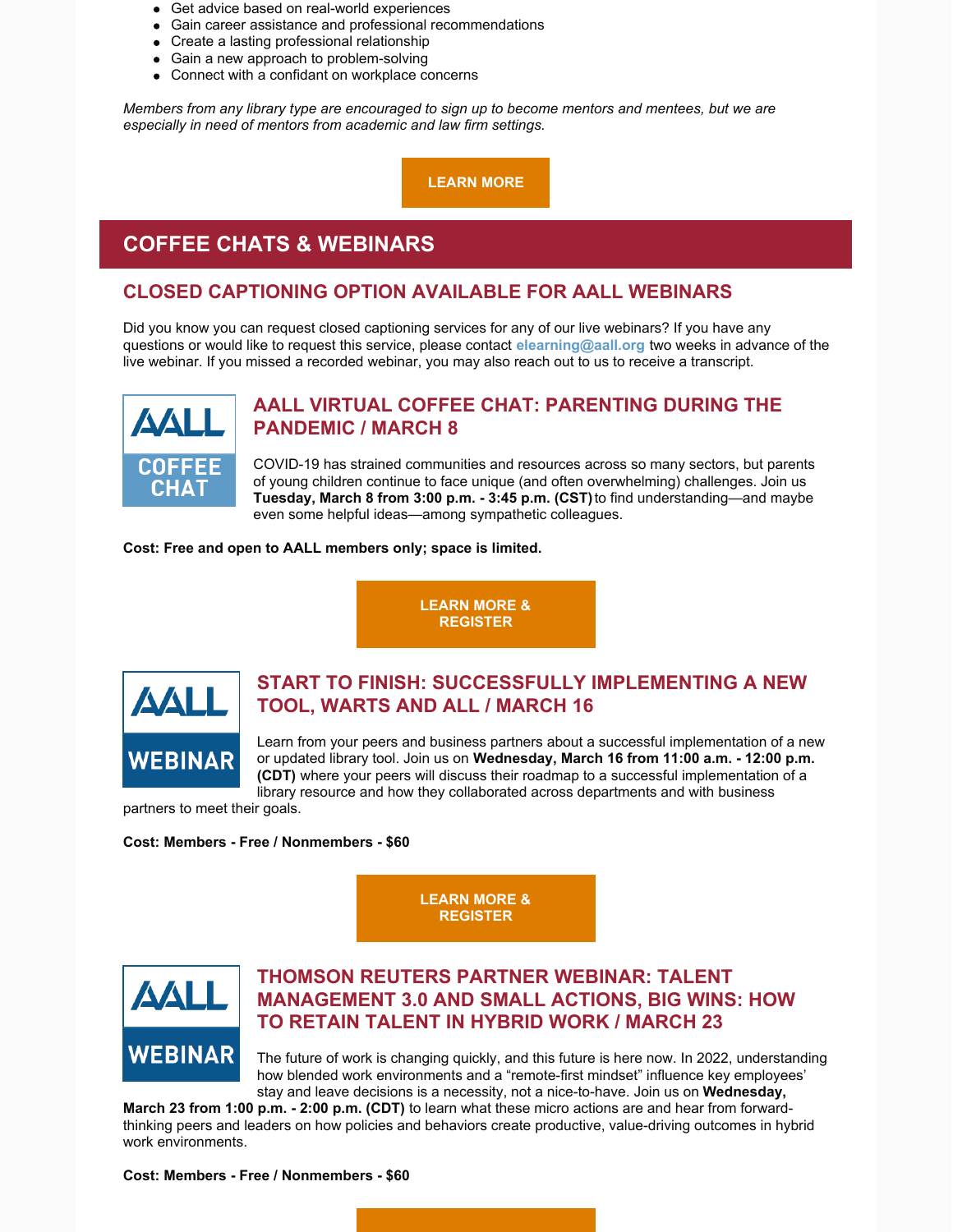- Get advice based on real-world experiences
- Gain career assistance and professional recommendations
- Create a lasting professional relationship
- Gain a new approach to problem-solving
- Connect with a confidant on workplace concerns

*Members from any library type are encouraged to sign up to become mentors and mentees, but we are especially in need of mentors from academic and law firm settings.*

**[LEARN MORE](https://www.aallnet.org/careers/mentor-program/)**

# **COFFEE CHATS & WEBINARS**

# **CLOSED CAPTIONING OPTION AVAILABLE FOR AALL WEBINARS**

Did you know you can request closed captioning services for any of our live webinars? If you have any questions or would like to request this service, please contact **[elearning@aall.org](mailto:elearning@aall.org)** two weeks in advance of the live webinar. If you missed a recorded webinar, you may also reach out to us to receive a transcript.



# **AALL VIRTUAL COFFEE CHAT: PARENTING DURING THE PANDEMIC / MARCH 8**

COVID-19 has strained communities and resources across so many sectors, but parents of young children continue to face unique (and often overwhelming) challenges. Join us **Tuesday, March 8 from 3:00 p.m. - 3:45 p.m. (CST)** to find understanding—and maybe even some helpful ideas—among sympathetic colleagues.

**Cost: Free and open to AALL members only; space is limited.**

**[LEARN MORE &](https://elearning.aallnet.org/products/virtual-coffee-chat-parenting-during-the-pandemic) REGISTER**



# **START TO FINISH: SUCCESSFULLY IMPLEMENTING A NEW TOOL, WARTS AND ALL / MARCH 16**

Learn from your peers and business partners about a successful implementation of a new or updated library tool. Join us on **Wednesday, March 16 from 11:00 a.m. - 12:00 p.m. (CDT)** where your peers will discuss their roadmap to a successful implementation of a library resource and how they collaborated across departments and with business

partners to meet their goals.

**Cost: Members - Free / Nonmembers - \$60**

**[LEARN MORE &](https://elearning.aallnet.org/products/start-to-finish-successfully-implementing-a-new-tool-warts-and-all) REGISTER**



# **THOMSON REUTERS PARTNER WEBINAR: TALENT MANAGEMENT 3.0 AND SMALL ACTIONS, BIG WINS: HOW TO RETAIN TALENT IN HYBRID WORK / MARCH 23**

The future of work is changing quickly, and this future is here now. In 2022, understanding how blended work environments and a "remote-first mindset" influence key employees' stay and leave decisions is a necessity, not a nice-to-have. Join us on **Wednesday,**

**March 23 from 1:00 p.m. - 2:00 p.m. (CDT)** to learn what these micro actions are and hear from forwardthinking peers and leaders on how policies and behaviors create productive, value-driving outcomes in hybrid work environments.

**Cost: Members - Free / Nonmembers - \$60**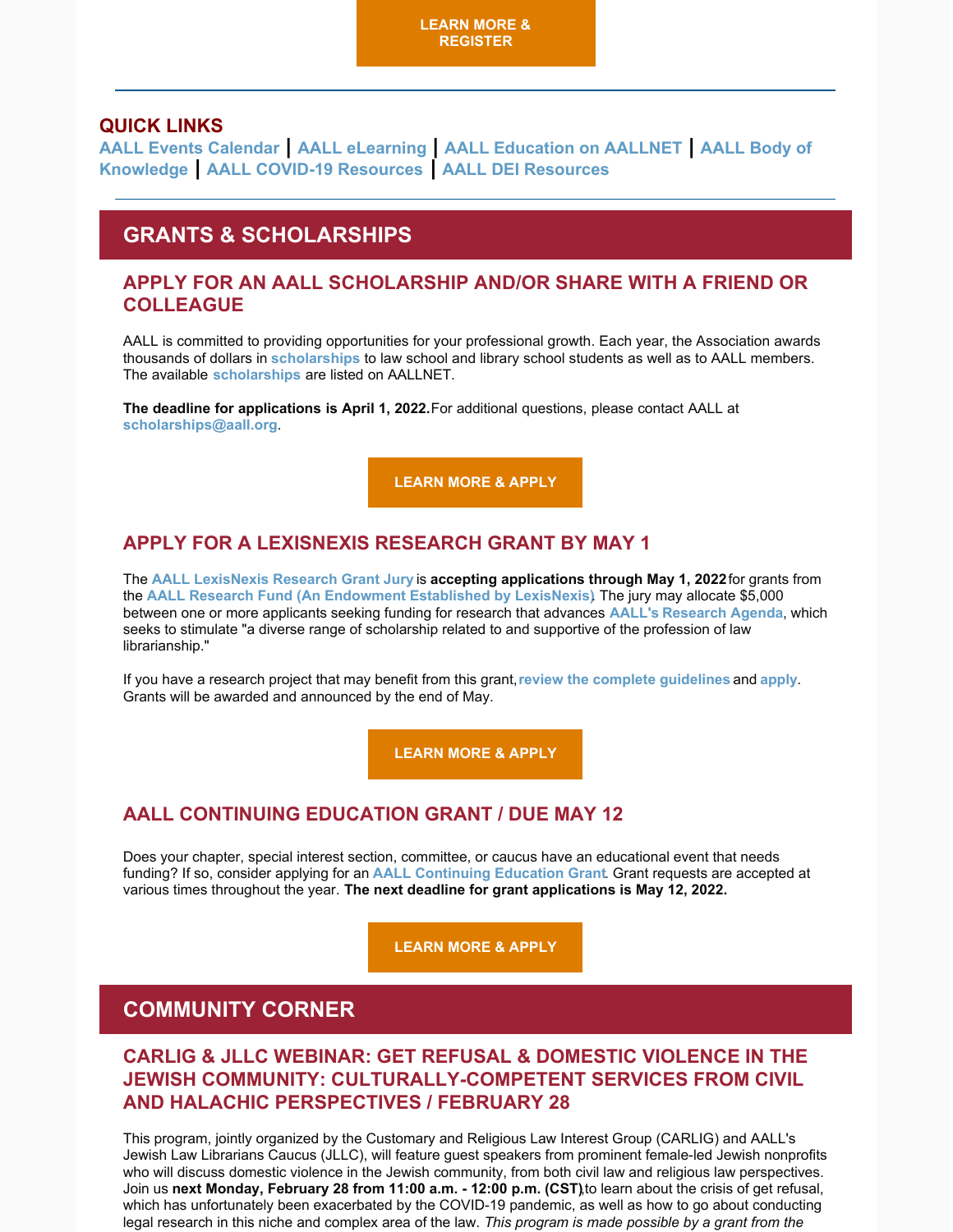### **QUICK LINKS**

**[AALL Events Calendar](https://www.aallnet.org/forms/MeetingCalendar/) | [AALL eLearning](https://elearning.aallnet.org/) | [AALL Education on AALLNET](https://www.aallnet.org/education-training/bok/) | AALL Body of Knowledge | [AALL COVID-19 Resources](https://www.aallnet.org/about-us/press-room/coronavirus/) | [AALL DEI Resources](https://www.aallnet.org/about-us/press-room/anti-racism-diversity-equity-inclusion/)**

# **GRANTS & SCHOLARSHIPS**

### **APPLY FOR AN AALL SCHOLARSHIP AND/OR SHARE WITH A FRIEND OR COLLEAGUE**

AALL is committed to providing opportunities for your professional growth. Each year, the Association awards thousands of dollars in **[scholarships](https://www.aallnet.org/education-training/scholarships/)** to law school and library school students as well as to AALL members. The available **[scholarships](https://www.aallnet.org/education-training/scholarships/)** are listed on AALLNET.

**The deadline for applications is April 1, 2022.** For additional questions, please contact AALL at **[scholarships@aall.org](mailto:scholarships@aall.org)**.

**[LEARN MORE & APPLY](https://www.aallnet.org/education-training/scholarships/)**

# **APPLY FOR A LEXISNEXIS RESEARCH GRANT BY MAY 1**

The **[AALL LexisNexis Research Grant Jury](https://www.aallnet.org/about-us/who-we-are/committees-juries/lexisnexis-research-grant-jury/)** is **accepting applications through May 1, 2022** for grants from the **[AALL Research Fund \(An Endowment Established by LexisNexis](https://www.aallnet.org/education-training/grants/research-grants/))**. The jury may allocate \$5,000 between one or more applicants seeking funding for research that advances **[AALL's](https://www.aallnet.org/education-training/grants/research-grants/research-agenda/) [Research Agenda](https://www.aallnet.org/education-training/grants/research-grants/research-agenda/)**, which seeks to stimulate "a diverse range of scholarship related to and supportive of the profession of law librarianship."

If you have a research project that may benefit from this grant, **[review the complete guidelines](https://www.aallnet.org/education-training/grants/research-grants/)** and **[apply](https://www.aallnet.org/wp-content/uploads/2021/10/aall-grant-researchfund.pdf)**. Grants will be awarded and announced by the end of May.

**[LEARN MORE & APPLY](https://www.aallnet.org/wp-content/uploads/2021/10/aall-grant-researchfund.pdf)**

# **AALL CONTINUING EDUCATION GRANT / DUE MAY 12**

Does your chapter, special interest section, committee, or caucus have an educational event that needs funding? If so, consider applying for an **[AALL Continuing Education Grant](https://www.aallnet.org/education-training/grants/cpe-program-grants/)**. Grant requests are accepted at various times throughout the year. **The next deadline for grant applications is May 12, 2022.**

**[LEARN MORE & APPLY](https://www.aallnet.org/education-training/grants/cpe-program-grants/)**

# **COMMUNITY CORNER**

# **CARLIG & JLLC WEBINAR: GET REFUSAL & DOMESTIC VIOLENCE IN THE JEWISH COMMUNITY: CULTURALLY-COMPETENT SERVICES FROM CIVIL AND HALACHIC PERSPECTIVES / FEBRUARY 28**

This program, jointly organized by the Customary and Religious Law Interest Group (CARLIG) and AALL's Jewish Law Librarians Caucus (JLLC), will feature guest speakers from prominent female-led Jewish nonprofits who will discuss domestic violence in the Jewish community, from both civil law and religious law perspectives. Join us **next Monday, February 28 from 11:00 a.m. - 12:00 p.m. (CST)**,to learn about the crisis of get refusal, which has unfortunately been exacerbated by the COVID-19 pandemic, as well as how to go about conducting legal research in this niche and complex area of the law. *This program is made possible by a grant from the*